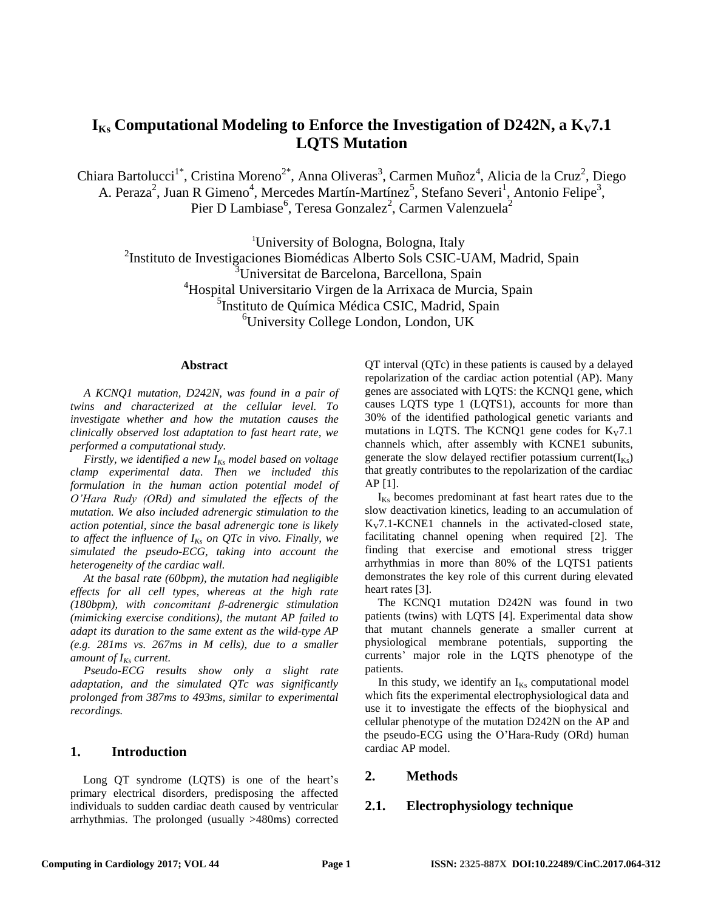# $I_{Ks}$  Computational Modeling to Enforce the Investigation of D242N, a  $K_V$ 7.1 **LQTS Mutation**

Chiara Bartolucci<sup>1\*</sup>, Cristina Moreno<sup>2\*</sup>, Anna Oliveras<sup>3</sup>, Carmen Muñoz<sup>4</sup>, Alicia de la Cruz<sup>2</sup>, Diego A. Peraza<sup>2</sup>, Juan R Gimeno<sup>4</sup>, Mercedes Martín-Martínez<sup>5</sup>, Stefano Severi<sup>1</sup>, Antonio Felipe<sup>3</sup>, Pier D Lambiase<sup>6</sup>, Teresa Gonzalez<sup>2</sup>, Carmen Valenzuela<sup>2</sup>

<sup>1</sup>University of Bologna, Bologna, Italy

<sup>2</sup>Instituto de Investigaciones Biomédicas Alberto Sols CSIC-UAM, Madrid, Spain

<sup>3</sup>Universitat de Barcelona, Barcellona, Spain

<sup>4</sup>Hospital Universitario Virgen de la Arrixaca de Murcia, Spain

<sup>5</sup>Instituto de Química Médica CSIC, Madrid, Spain

<sup>6</sup>University College London, London, UK

#### **Abstract**

*A KCNQ1 mutation, D242N, was found in a pair of twins and characterized at the cellular level. To investigate whether and how the mutation causes the clinically observed lost adaptation to fast heart rate, we performed a computational study.*

*Firstly, we identified a new IKs model based on voltage clamp experimental data. Then we included this formulation in the human action potential model of O'Hara Rudy (ORd) and simulated the effects of the mutation. We also included adrenergic stimulation to the action potential, since the basal adrenergic tone is likely to affect the influence of IKs on QTc in vivo. Finally, we simulated the pseudo-ECG, taking into account the heterogeneity of the cardiac wall.*

*At the basal rate (60bpm), the mutation had negligible effects for all cell types, whereas at the high rate (180bpm), with concomitant β-adrenergic stimulation (mimicking exercise conditions), the mutant AP failed to adapt its duration to the same extent as the wild-type AP (e.g. 281ms vs. 267ms in M cells), due to a smaller amount of IKs current.*

*Pseudo-ECG results show only a slight rate adaptation, and the simulated QTc was significantly prolonged from 387ms to 493ms, similar to experimental recordings.*

# **1. Introduction**

Long OT syndrome (LOTS) is one of the heart's primary electrical disorders, predisposing the affected individuals to sudden cardiac death caused by ventricular arrhythmias. The prolonged (usually >480ms) corrected

QT interval (QTc) in these patients is caused by a delayed repolarization of the cardiac action potential (AP). Many genes are associated with LQTS: the KCNQ1 gene, which causes LQTS type 1 (LQTS1), accounts for more than 30% of the identified pathological genetic variants and mutations in LQTS. The KCNQ1 gene codes for  $K_v7.1$ channels which, after assembly with KCNE1 subunits, generate the slow delayed rectifier potassium current( $I_{Ks}$ ) that greatly contributes to the repolarization of the cardiac AP [1].

 $I_{Ks}$  becomes predominant at fast heart rates due to the slow deactivation kinetics, leading to an accumulation of  $K_V$ 7.1-KCNE1 channels in the activated-closed state, facilitating channel opening when required [2]. The finding that exercise and emotional stress trigger arrhythmias in more than 80% of the LQTS1 patients demonstrates the key role of this current during elevated heart rates [3].

The KCNQ1 mutation D242N was found in two patients (twins) with LQTS [4]. Experimental data show that mutant channels generate a smaller current at physiological membrane potentials, supporting the currents' major role in the LQTS phenotype of the patients.

In this study, we identify an  $I_{Ks}$  computational model which fits the experimental electrophysiological data and use it to investigate the effects of the biophysical and cellular phenotype of the mutation D242N on the AP and the pseudo-ECG using the O'Hara-Rudy (ORd) human cardiac AP model.

## **2. Methods**

## **2.1. Electrophysiology technique**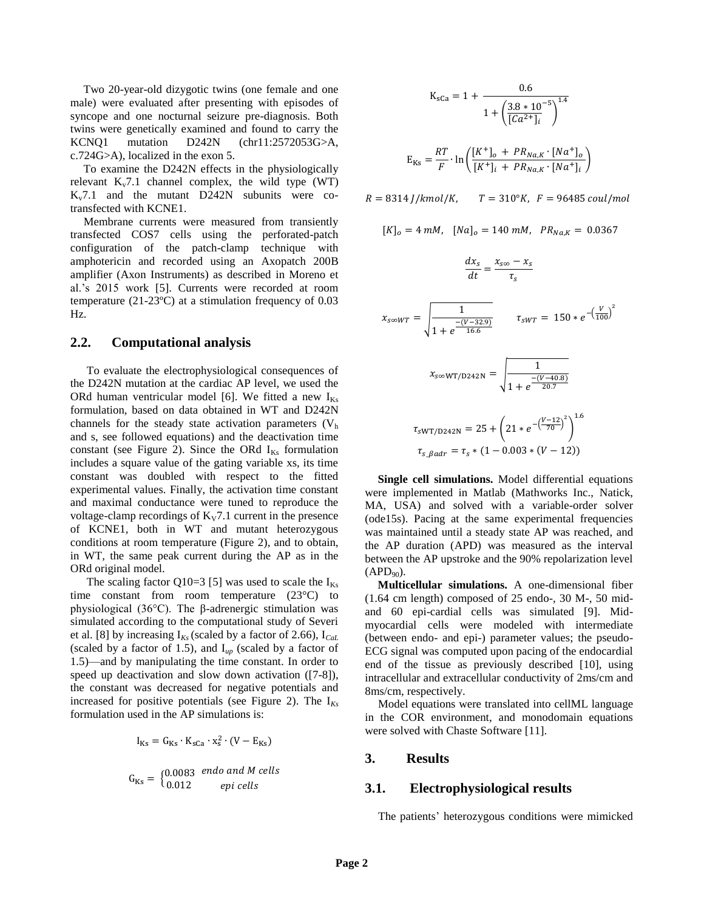Two 20-year-old dizygotic twins (one female and one male) were evaluated after presenting with episodes of syncope and one nocturnal seizure pre-diagnosis. Both twins were genetically examined and found to carry the KCNQ1 mutation D242N (chr11:2572053G>A, c.724G>A), localized in the exon 5.

To examine the D242N effects in the physiologically relevant  $K_v$ 7.1 channel complex, the wild type (WT)  $K_v$ 7.1 and the mutant D242N subunits were cotransfected with KCNE1.

Membrane currents were measured from transiently transfected COS7 cells using the perforated-patch configuration of the patch-clamp technique with amphotericin and recorded using an Axopatch 200B amplifier (Axon Instruments) as described in Moreno et al.'s 2015 work [5]. Currents were recorded at room temperature (21-23ºC) at a stimulation frequency of 0.03 Hz.

## **2.2. Computational analysis**

To evaluate the electrophysiological consequences of the D242N mutation at the cardiac AP level, we used the ORd human ventricular model [6]. We fitted a new  $I_{Ks}$ formulation, based on data obtained in WT and D242N channels for the steady state activation parameters  $(V<sub>h</sub>)$ and s, see followed equations) and the deactivation time constant (see Figure 2). Since the ORd  $I_{Ks}$  formulation includes a square value of the gating variable xs, its time constant was doubled with respect to the fitted experimental values. Finally, the activation time constant and maximal conductance were tuned to reproduce the voltage-clamp recordings of  $K_V$ 7.1 current in the presence of KCNE1, both in WT and mutant heterozygous conditions at room temperature (Figure 2), and to obtain, in WT, the same peak current during the AP as in the ORd original model.

The scaling factor Q10=3 [5] was used to scale the  $I_{Ks}$ time constant from room temperature (23°C) to physiological (36°C). The β-adrenergic stimulation was simulated according to the computational study of Severi et al. [8] by increasing I*Ks* (scaled by a factor of 2.66), I*CaL* (scaled by a factor of 1.5), and I*up* (scaled by a factor of 1.5)—and by manipulating the time constant. In order to speed up deactivation and slow down activation ([7-8]), the constant was decreased for negative potentials and increased for positive potentials (see Figure 2). The  $I_{Ks}$ formulation used in the AP simulations is:

$$
I_{\text{Ks}} = G_{\text{Ks}} \cdot K_{\text{sCa}} \cdot x_{\text{s}}^2 \cdot (V - E_{\text{Ks}})
$$
  

$$
G_{\text{Ks}} = \begin{cases} 0.0083 & \text{endo and } M \text{ cells} \\ 0.012 & \text{epi cells} \end{cases}
$$

$$
K_{sCa} = 1 + \frac{0.6}{1 + \left(\frac{3.8 * 10^{-5}}{[Ca^{2+}]i}\right)^{1.4}}
$$

$$
E_{Ks} = \frac{RT}{F} \cdot \ln\left(\frac{[K^+]_o + PR_{Na,K} \cdot [Na^+]_o}{[K^+]_i + PR_{Na,K} \cdot [Na^+]_i}\right)
$$

 $R = 8314$  *J*/kmol/K,  $T = 310$ °K,  $F = 96485$  coul/mol

)

$$
[K]_o = 4 \, \text{mM}, \quad [Na]_o = 140 \, \text{mM}, \quad PR_{Na,K} = 0.0367
$$

$$
\frac{dx_s}{dt} = \frac{x_{s\infty} - x_s}{\tau_s}
$$

$$
x_{s \in W T} = \sqrt{\frac{1}{1 + e^{\frac{-(V - 32.9)}{16.6}}}}
$$
  $\tau_{s W T} = 150 * e^{-\left(\frac{V}{100}\right)^2}$ 

$$
x_{\text{S}\infty \text{WT/D242N}} = \sqrt{\frac{1}{1 + e^{\frac{-(V - 40.8)}{20.7}}}}
$$

$$
\tau_{sWT/D242N} = 25 + \left(21 * e^{-\left(\frac{V-12}{70}\right)^2}\right)^{1.6}
$$

$$
\tau_{s \cdot \beta a dr} = \tau_s * (1 - 0.003 * (V - 12))
$$

**Single cell simulations.** Model differential equations were implemented in Matlab (Mathworks Inc., Natick, MA, USA) and solved with a variable-order solver (ode15s). Pacing at the same experimental frequencies was maintained until a steady state AP was reached, and the AP duration (APD) was measured as the interval between the AP upstroke and the 90% repolarization level  $(APD<sub>90</sub>)$ .

**Multicellular simulations.** A one-dimensional fiber  $(1.64 \text{ cm length})$  composed of 25 endo-, 30 M-, 50 midand 60 epi-cardial cells was simulated [9]. Midmyocardial cells were modeled with intermediate (between endo- and epi-) parameter values; the pseudo-ECG signal was computed upon pacing of the endocardial end of the tissue as previously described [10], using intracellular and extracellular conductivity of 2ms/cm and 8ms/cm, respectively.

Model equations were translated into cellML language in the COR environment, and monodomain equations were solved with Chaste Software [11].

## **3. Results**

#### **3.1. Electrophysiological results**

The patients' heterozygous conditions were mimicked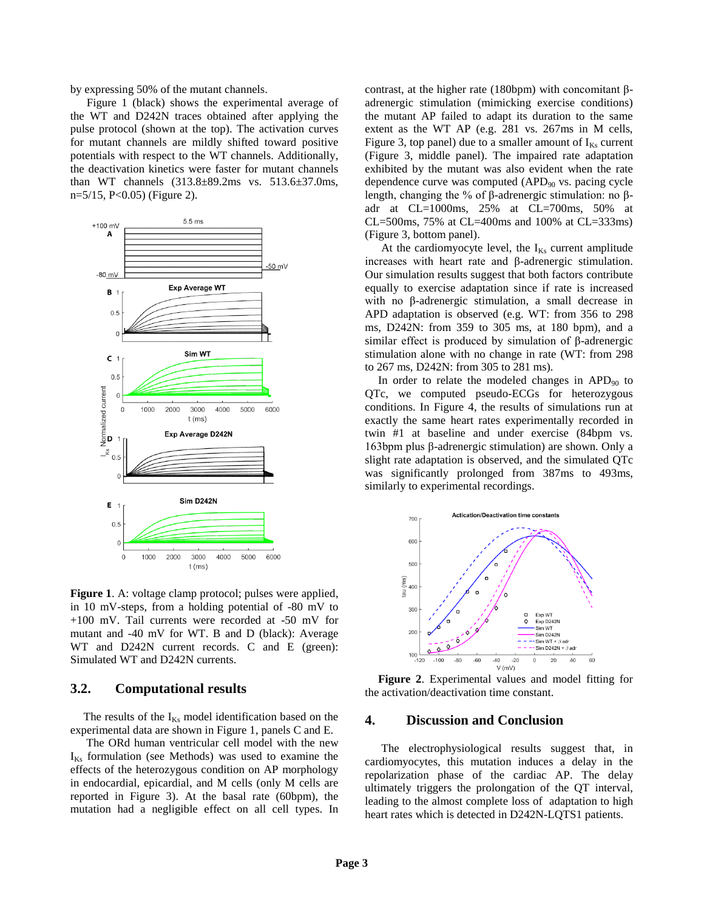by expressing 50% of the mutant channels.

Figure 1 (black) shows the experimental average of the WT and D242N traces obtained after applying the pulse protocol (shown at the top). The activation curves for mutant channels are mildly shifted toward positive potentials with respect to the WT channels. Additionally, the deactivation kinetics were faster for mutant channels than WT channels (313.8±89.2ms vs. 513.6±37.0ms, n=5/15, P<0.05) (Figure 2).



**Figure 1**. A: voltage clamp protocol; pulses were applied, in 10 mV-steps, from a holding potential of -80 mV to +100 mV. Tail currents were recorded at -50 mV for mutant and -40 mV for WT. B and D (black): Average WT and D242N current records. C and E (green): Simulated WT and D242N currents.

#### **3.2. Computational results**

The results of the  $I_{Ks}$  model identification based on the experimental data are shown in Figure 1, panels C and E.

The ORd human ventricular cell model with the new  $I_{Ks}$  formulation (see Methods) was used to examine the effects of the heterozygous condition on AP morphology in endocardial, epicardial, and M cells (only M cells are reported in Figure 3). At the basal rate (60bpm), the mutation had a negligible effect on all cell types. In contrast, at the higher rate (180bpm) with concomitant βadrenergic stimulation (mimicking exercise conditions) the mutant AP failed to adapt its duration to the same extent as the WT AP (e.g. 281 vs. 267ms in M cells, Figure 3, top panel) due to a smaller amount of  $I_{Ks}$  current (Figure 3, middle panel). The impaired rate adaptation exhibited by the mutant was also evident when the rate dependence curve was computed  $(APD<sub>90</sub>$  vs. pacing cycle length, changing the % of β-adrenergic stimulation: no βadr at CL=1000ms, 25% at CL=700ms, 50% at CL=500ms, 75% at CL=400ms and 100% at CL=333ms) (Figure 3, bottom panel).

At the cardiomyocyte level, the  $I_{Ks}$  current amplitude increases with heart rate and β-adrenergic stimulation. Our simulation results suggest that both factors contribute equally to exercise adaptation since if rate is increased with no β-adrenergic stimulation, a small decrease in APD adaptation is observed (e.g. WT: from 356 to 298 ms, D242N: from 359 to 305 ms, at 180 bpm), and a similar effect is produced by simulation of β-adrenergic stimulation alone with no change in rate (WT: from 298 to 267 ms, D242N: from 305 to 281 ms).

In order to relate the modeled changes in  $APD_{90}$  to QTc, we computed pseudo-ECGs for heterozygous conditions. In Figure 4, the results of simulations run at exactly the same heart rates experimentally recorded in twin #1 at baseline and under exercise (84bpm vs. 163bpm plus β-adrenergic stimulation) are shown. Only a slight rate adaptation is observed, and the simulated QTc was significantly prolonged from 387ms to 493ms, similarly to experimental recordings.



**Figure 2**. Experimental values and model fitting for the activation/deactivation time constant.

#### **4. Discussion and Conclusion**

The electrophysiological results suggest that, in cardiomyocytes, this mutation induces a delay in the repolarization phase of the cardiac AP. The delay ultimately triggers the prolongation of the QT interval, leading to the almost complete loss of adaptation to high heart rates which is detected in D242N-LQTS1 patients.